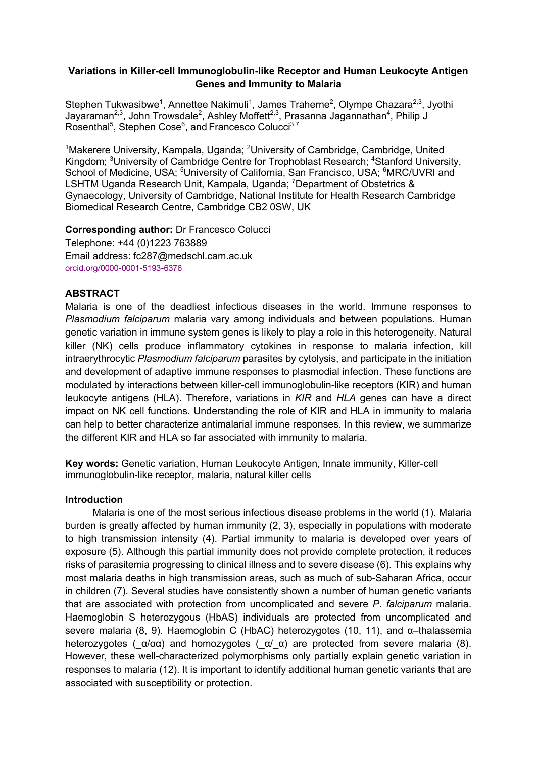## **Variations in Killer-cell Immunoglobulin-like Receptor and Human Leukocyte Antigen Genes and Immunity to Malaria**

Stephen Tukwasibwe<sup>1</sup>, Annettee Nakimuli<sup>1</sup>, James Traherne<sup>2</sup>, Olympe Chazara<sup>2,3</sup>, Jyothi Jayaraman<sup>2,3</sup>, John Trowsdale<sup>2</sup>, Ashley Moffett<sup>2,3</sup>, Prasanna Jagannathan<sup>4</sup>, Philip J Rosenthal $^5$ , Stephen Cose $^6$ , and Francesco Colucci $^{3,7}$ 

<sup>1</sup>Makerere University, Kampala, Uganda; <sup>2</sup>University of Cambridge, Cambridge, United Kingdom; <sup>3</sup>University of Cambridge Centre for Trophoblast Research; <sup>4</sup>Stanford University, School of Medicine, USA; <sup>5</sup>University of California, San Francisco, USA; <sup>6</sup>MRC/UVRI and LSHTM Uganda Research Unit, Kampala, Uganda; <sup>7</sup>Department of Obstetrics & Gynaecology, University of Cambridge, National Institute for Health Research Cambridge Biomedical Research Centre, Cambridge CB2 0SW, UK

### **Corresponding author:** Dr Francesco Colucci

Telephone: +44 (0)1223 763889 Email address: fc287@medschl.cam.ac.uk orcid.org/0000-0001-5193-6376

## **ABSTRACT**

Malaria is one of the deadliest infectious diseases in the world. Immune responses to *Plasmodium falciparum* malaria vary among individuals and between populations. Human genetic variation in immune system genes is likely to play a role in this heterogeneity. Natural killer (NK) cells produce inflammatory cytokines in response to malaria infection, kill intraerythrocytic *Plasmodium falciparum* parasites by cytolysis, and participate in the initiation and development of adaptive immune responses to plasmodial infection. These functions are modulated by interactions between killer-cell immunoglobulin-like receptors (KIR) and human leukocyte antigens (HLA). Therefore, variations in *KIR* and *HLA* genes can have a direct impact on NK cell functions. Understanding the role of KIR and HLA in immunity to malaria can help to better characterize antimalarial immune responses. In this review, we summarize the different KIR and HLA so far associated with immunity to malaria.

**Key words:** Genetic variation, Human Leukocyte Antigen, Innate immunity, Killer-cell immunoglobulin-like receptor, malaria, natural killer cells

## **Introduction**

 Malaria is one of the most serious infectious disease problems in the world (1). Malaria burden is greatly affected by human immunity (2, 3), especially in populations with moderate to high transmission intensity (4). Partial immunity to malaria is developed over years of exposure (5). Although this partial immunity does not provide complete protection, it reduces risks of parasitemia progressing to clinical illness and to severe disease (6). This explains why most malaria deaths in high transmission areas, such as much of sub-Saharan Africa, occur in children (7). Several studies have consistently shown a number of human genetic variants that are associated with protection from uncomplicated and severe *P. falciparum* malaria. Haemoglobin S heterozygous (HbAS) individuals are protected from uncomplicated and severe malaria (8, 9). Haemoglobin C (HbAC) heterozygotes (10, 11), and α–thalassemia heterozygotes ( $\alpha/\alpha\alpha$ ) and homozygotes ( $\alpha/\alpha$ ) are protected from severe malaria (8). However, these well-characterized polymorphisms only partially explain genetic variation in responses to malaria (12). It is important to identify additional human genetic variants that are associated with susceptibility or protection.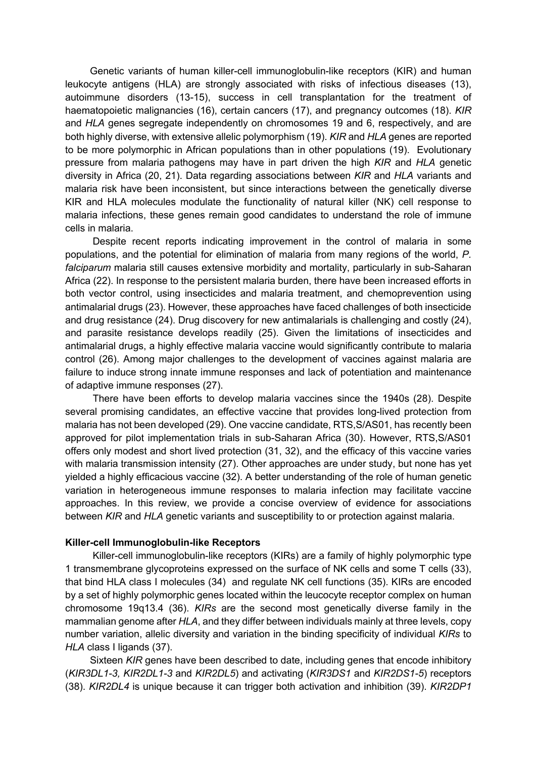Genetic variants of human killer-cell immunoglobulin-like receptors (KIR) and human leukocyte antigens (HLA) are strongly associated with risks of infectious diseases (13), autoimmune disorders (13-15), success in cell transplantation for the treatment of haematopoietic malignancies (16), certain cancers (17), and pregnancy outcomes (18). *KIR* and *HLA* genes segregate independently on chromosomes 19 and 6, respectively, and are both highly diverse, with extensive allelic polymorphism (19). *KIR* and *HLA* genes are reported to be more polymorphic in African populations than in other populations (19). Evolutionary pressure from malaria pathogens may have in part driven the high *KIR* and *HLA* genetic diversity in Africa (20, 21). Data regarding associations between *KIR* and *HLA* variants and malaria risk have been inconsistent, but since interactions between the genetically diverse KIR and HLA molecules modulate the functionality of natural killer (NK) cell response to malaria infections, these genes remain good candidates to understand the role of immune cells in malaria.

 Despite recent reports indicating improvement in the control of malaria in some populations, and the potential for elimination of malaria from many regions of the world, *P. falciparum* malaria still causes extensive morbidity and mortality, particularly in sub-Saharan Africa (22). In response to the persistent malaria burden, there have been increased efforts in both vector control, using insecticides and malaria treatment, and chemoprevention using antimalarial drugs (23). However, these approaches have faced challenges of both insecticide and drug resistance (24). Drug discovery for new antimalarials is challenging and costly (24), and parasite resistance develops readily (25). Given the limitations of insecticides and antimalarial drugs, a highly effective malaria vaccine would significantly contribute to malaria control (26). Among major challenges to the development of vaccines against malaria are failure to induce strong innate immune responses and lack of potentiation and maintenance of adaptive immune responses (27).

 There have been efforts to develop malaria vaccines since the 1940s (28). Despite several promising candidates, an effective vaccine that provides long-lived protection from malaria has not been developed (29). One vaccine candidate, RTS,S/AS01, has recently been approved for pilot implementation trials in sub-Saharan Africa (30). However, RTS,S/AS01 offers only modest and short lived protection (31, 32), and the efficacy of this vaccine varies with malaria transmission intensity (27). Other approaches are under study, but none has yet yielded a highly efficacious vaccine (32). A better understanding of the role of human genetic variation in heterogeneous immune responses to malaria infection may facilitate vaccine approaches. In this review, we provide a concise overview of evidence for associations between *KIR* and *HLA* genetic variants and susceptibility to or protection against malaria.

### **Killer-cell Immunoglobulin-like Receptors**

 Killer-cell immunoglobulin-like receptors (KIRs) are a family of highly polymorphic type 1 transmembrane glycoproteins expressed on the surface of NK cells and some T cells (33), that bind HLA class I molecules (34) and regulate NK cell functions (35). KIRs are encoded by a set of highly polymorphic genes located within the leucocyte receptor complex on human chromosome 19q13.4 (36). *KIRs* are the second most genetically diverse family in the mammalian genome after *HLA*, and they differ between individuals mainly at three levels, copy number variation, allelic diversity and variation in the binding specificity of individual *KIRs* to *HLA* class I ligands (37).

 Sixteen *KIR* genes have been described to date, including genes that encode inhibitory (*KIR3DL1-3, KIR2DL1-3* and *KIR2DL5*) and activating (*KIR3DS1* and *KIR2DS1-5*) receptors (38). *KIR2DL4* is unique because it can trigger both activation and inhibition (39). *KIR2DP1*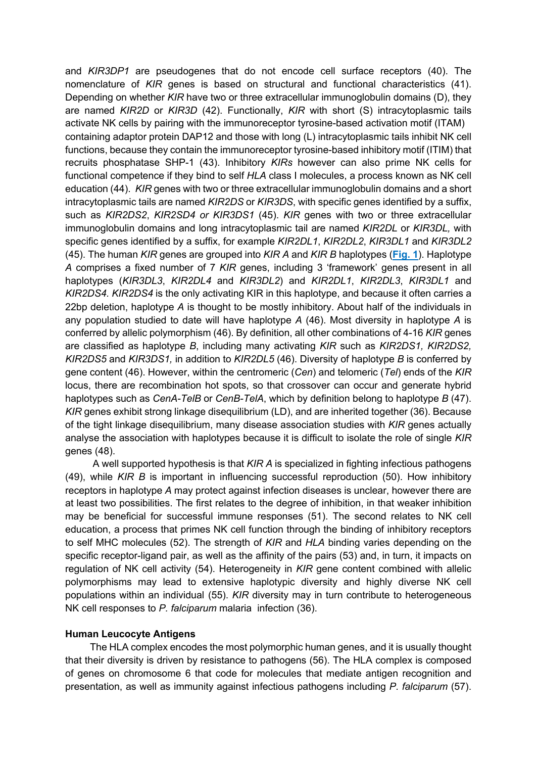and *KIR3DP1* are pseudogenes that do not encode cell surface receptors (40). The nomenclature of *KIR* genes is based on structural and functional characteristics (41). Depending on whether *KIR* have two or three extracellular immunoglobulin domains (D), they are named *KIR2D* or *KIR3D* (42). Functionally, *KIR* with short (S) intracytoplasmic tails activate NK cells by pairing with the immunoreceptor tyrosine-based activation motif (ITAM) containing adaptor protein DAP12 and those with long (L) intracytoplasmic tails inhibit NK cell functions, because they contain the immunoreceptor tyrosine-based inhibitory motif (ITIM) that recruits phosphatase SHP-1 (43). Inhibitory *KIRs* however can also prime NK cells for functional competence if they bind to self *HLA* class I molecules, a process known as NK cell education (44). *KIR* genes with two or three extracellular immunoglobulin domains and a short intracytoplasmic tails are named *KIR2DS* or *KIR3DS*, with specific genes identified by a suffix, such as *KIR2DS2*, *KIR2SD4 or KIR3DS1* (45). *KIR* genes with two or three extracellular immunoglobulin domains and long intracytoplasmic tail are named *KIR2DL* or *KIR3DL,* with specific genes identified by a suffix, for example *KIR2DL1*, *KIR2DL2*, *KIR3DL1* and *KIR3DL2* (45). The human *KIR* genes are grouped into *KIR A* and *KIR B* haplotypes (**Fig. 1**). Haplotype *A* comprises a fixed number of 7 *KIR* genes, including 3 'framework' genes present in all haplotypes (*KIR3DL3*, *KIR2DL4* and *KIR3DL2*) and *KIR2DL1*, *KIR2DL3*, *KIR3DL1* and *KIR2DS4. KIR2DS4* is the only activating KIR in this haplotype, and because it often carries a 22bp deletion, haplotype *A* is thought to be mostly inhibitory. About half of the individuals in any population studied to date will have haplotype *A* (46). Most diversity in haplotype *A* is conferred by allelic polymorphism (46). By definition, all other combinations of 4-16 *KIR* genes are classified as haplotype *B*, including many activating *KIR* such as *KIR2DS1, KIR2DS2, KIR2DS5* and *KIR3DS1,* in addition to *KIR2DL5* (46). Diversity of haplotype *B* is conferred by gene content (46). However, within the centromeric (*Cen*) and telomeric (*Tel*) ends of the *KIR* locus, there are recombination hot spots, so that crossover can occur and generate hybrid haplotypes such as *CenA-TelB* or *CenB-TelA*, which by definition belong to haplotype *B* (47). *KIR* genes exhibit strong linkage disequilibrium (LD), and are inherited together (36). Because of the tight linkage disequilibrium, many disease association studies with *KIR* genes actually analyse the association with haplotypes because it is difficult to isolate the role of single *KIR* genes (48).

 A well supported hypothesis is that *KIR A* is specialized in fighting infectious pathogens (49), while *KIR B* is important in influencing successful reproduction (50). How inhibitory receptors in haplotype *A* may protect against infection diseases is unclear, however there are at least two possibilities. The first relates to the degree of inhibition, in that weaker inhibition may be beneficial for successful immune responses (51). The second relates to NK cell education, a process that primes NK cell function through the binding of inhibitory receptors to self MHC molecules (52). The strength of *KIR* and *HLA* binding varies depending on the specific receptor-ligand pair, as well as the affinity of the pairs (53) and, in turn, it impacts on regulation of NK cell activity (54). Heterogeneity in *KIR* gene content combined with allelic polymorphisms may lead to extensive haplotypic diversity and highly diverse NK cell populations within an individual (55). *KIR* diversity may in turn contribute to heterogeneous NK cell responses to *P. falciparum* malaria infection (36).

### **Human Leucocyte Antigens**

The HLA complex encodes the most polymorphic human genes, and it is usually thought that their diversity is driven by resistance to pathogens (56). The HLA complex is composed of genes on chromosome 6 that code for molecules that mediate antigen recognition and presentation, as well as immunity against infectious pathogens including *P. falciparum* (57).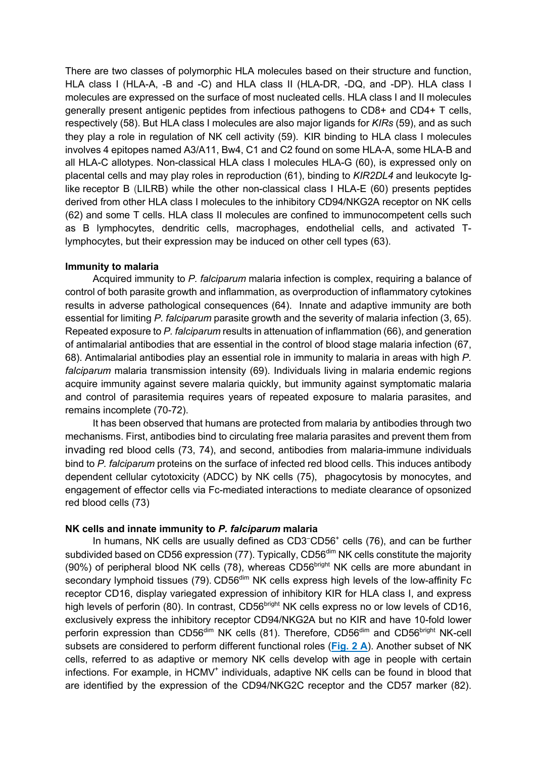There are two classes of polymorphic HLA molecules based on their structure and function, HLA class I (HLA-A, -B and -C) and HLA class II (HLA-DR, -DQ, and -DP). HLA class I molecules are expressed on the surface of most nucleated cells. HLA class I and II molecules generally present antigenic peptides from infectious pathogens to CD8+ and CD4+ T cells, respectively (58). But HLA class I molecules are also major ligands for *KIRs* (59), and as such they play a role in regulation of NK cell activity (59). KIR binding to HLA class I molecules involves 4 epitopes named A3/A11, Bw4, C1 and C2 found on some HLA-A, some HLA-B and all HLA-C allotypes. Non-classical HLA class I molecules HLA-G (60), is expressed only on placental cells and may play roles in reproduction (61), binding to *KIR2DL4* and leukocyte Iglike receptor B (LILRB) while the other non-classical class I HLA-E (60) presents peptides derived from other HLA class I molecules to the inhibitory CD94/NKG2A receptor on NK cells (62) and some T cells. HLA class II molecules are confined to immunocompetent cells such as B lymphocytes, dendritic cells, macrophages, endothelial cells, and activated Tlymphocytes, but their expression may be induced on other cell types (63).

### **Immunity to malaria**

 Acquired immunity to *P. falciparum* malaria infection is complex, requiring a balance of control of both parasite growth and inflammation, as overproduction of inflammatory cytokines results in adverse pathological consequences (64). Innate and adaptive immunity are both essential for limiting *P. falciparum* parasite growth and the severity of malaria infection (3, 65). Repeated exposure to *P. falciparum* results in attenuation of inflammation (66), and generation of antimalarial antibodies that are essential in the control of blood stage malaria infection (67, 68). Antimalarial antibodies play an essential role in immunity to malaria in areas with high *P. falciparum* malaria transmission intensity (69). Individuals living in malaria endemic regions acquire immunity against severe malaria quickly, but immunity against symptomatic malaria and control of parasitemia requires years of repeated exposure to malaria parasites, and remains incomplete (70-72).

 It has been observed that humans are protected from malaria by antibodies through two mechanisms. First, antibodies bind to circulating free malaria parasites and prevent them from invading red blood cells (73, 74), and second, antibodies from malaria-immune individuals bind to *P. falciparum* proteins on the surface of infected red blood cells. This induces antibody dependent cellular cytotoxicity (ADCC) by NK cells (75), phagocytosis by monocytes, and engagement of effector cells via Fc-mediated interactions to mediate clearance of opsonized red blood cells (73)

### **NK cells and innate immunity to** *P. falciparum* **malaria**

In humans, NK cells are usually defined as CD3<sup>-</sup>CD56<sup>+</sup> cells (76), and can be further subdivided based on CD56 expression (77). Typically, CD56<sup>dim</sup> NK cells constitute the majority (90%) of peripheral blood NK cells (78), whereas  $CDS6<sup>bright</sup>$  NK cells are more abundant in secondary lymphoid tissues (79). CD56<sup>dim</sup> NK cells express high levels of the low-affinity Fc receptor CD16, display variegated expression of inhibitory KIR for HLA class I, and express high levels of perforin (80). In contrast, CD56<sup>bright</sup> NK cells express no or low levels of CD16, exclusively express the inhibitory receptor CD94/NKG2A but no KIR and have 10-fold lower perforin expression than CD56<sup>dim</sup> NK cells (81). Therefore, CD56<sup>dim</sup> and CD56<sup>bright</sup> NK-cell subsets are considered to perform different functional roles (**Fig. 2 A**). Another subset of NK cells, referred to as adaptive or memory NK cells develop with age in people with certain infections. For example, in HCMV<sup>+</sup> individuals, adaptive NK cells can be found in blood that are identified by the expression of the CD94/NKG2C receptor and the CD57 marker (82).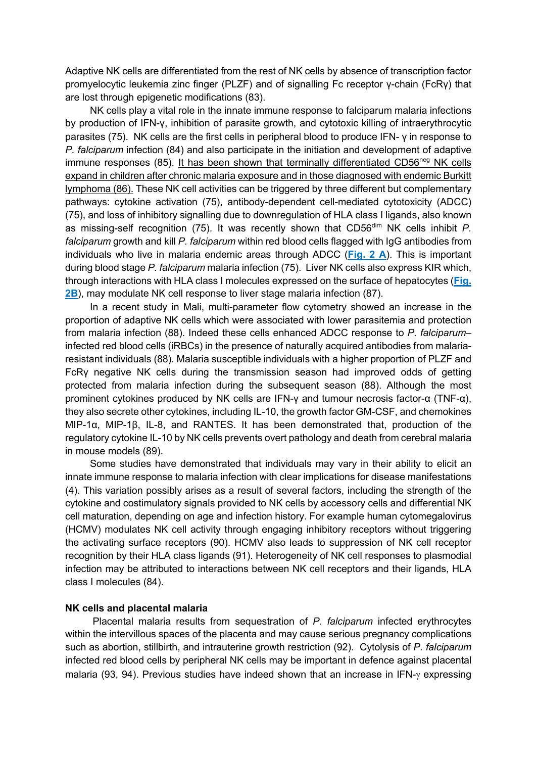Adaptive NK cells are differentiated from the rest of NK cells by absence of transcription factor promyelocytic leukemia zinc finger (PLZF) and of signalling Fc receptor γ-chain (FcRγ) that are lost through epigenetic modifications (83).

 NK cells play a vital role in the innate immune response to falciparum malaria infections by production of IFN-γ, inhibition of parasite growth, and cytotoxic killing of intraerythrocytic parasites (75). NK cells are the first cells in peripheral blood to produce IFN- γ in response to *P. falciparum* infection (84) and also participate in the initiation and development of adaptive immune responses (85). It has been shown that terminally differentiated CD56<sup>neg</sup> NK cells expand in children after chronic malaria exposure and in those diagnosed with endemic Burkitt lymphoma (86). These NK cell activities can be triggered by three different but complementary pathways: cytokine activation (75), antibody-dependent cell-mediated cytotoxicity (ADCC) (75), and loss of inhibitory signalling due to downregulation of HLA class I ligands, also known as missing-self recognition (75). It was recently shown that CD56<sup>dim</sup> NK cells inhibit *P*. *falciparum* growth and kill *P. falciparum* within red blood cells flagged with IgG antibodies from individuals who live in malaria endemic areas through ADCC (**Fig. 2 A**). This is important during blood stage *P. falciparum* malaria infection (75). Liver NK cells also express KIR which, through interactions with HLA class I molecules expressed on the surface of hepatocytes (**Fig. 2B**), may modulate NK cell response to liver stage malaria infection (87).

 In a recent study in Mali, multi-parameter flow cytometry showed an increase in the proportion of adaptive NK cells which were associated with lower parasitemia and protection from malaria infection (88). Indeed these cells enhanced ADCC response to *P. falciparum*– infected red blood cells (iRBCs) in the presence of naturally acquired antibodies from malariaresistant individuals (88). Malaria susceptible individuals with a higher proportion of PLZF and FcRγ negative NK cells during the transmission season had improved odds of getting protected from malaria infection during the subsequent season (88). Although the most prominent cytokines produced by NK cells are IFN-γ and tumour necrosis factor-α (TNF-α), they also secrete other cytokines, including IL-10, the growth factor GM-CSF, and chemokines MIP-1α, MIP-1β, IL-8, and RANTES. It has been demonstrated that, production of the regulatory cytokine IL-10 by NK cells prevents overt pathology and death from cerebral malaria in mouse models (89).

 Some studies have demonstrated that individuals may vary in their ability to elicit an innate immune response to malaria infection with clear implications for disease manifestations (4). This variation possibly arises as a result of several factors, including the strength of the cytokine and costimulatory signals provided to NK cells by accessory cells and differential NK cell maturation, depending on age and infection history. For example human cytomegalovirus (HCMV) modulates NK cell activity through engaging inhibitory receptors without triggering the activating surface receptors (90). HCMV also leads to suppression of NK cell receptor recognition by their HLA class ligands (91). Heterogeneity of NK cell responses to plasmodial infection may be attributed to interactions between NK cell receptors and their ligands, HLA class I molecules (84).

#### **NK cells and placental malaria**

Placental malaria results from sequestration of *P. falciparum* infected erythrocytes within the intervillous spaces of the placenta and may cause serious pregnancy complications such as abortion, stillbirth, and intrauterine growth restriction (92). Cytolysis of *P. falciparum* infected red blood cells by peripheral NK cells may be important in defence against placental malaria (93, 94). Previous studies have indeed shown that an increase in IFN- $\gamma$  expressing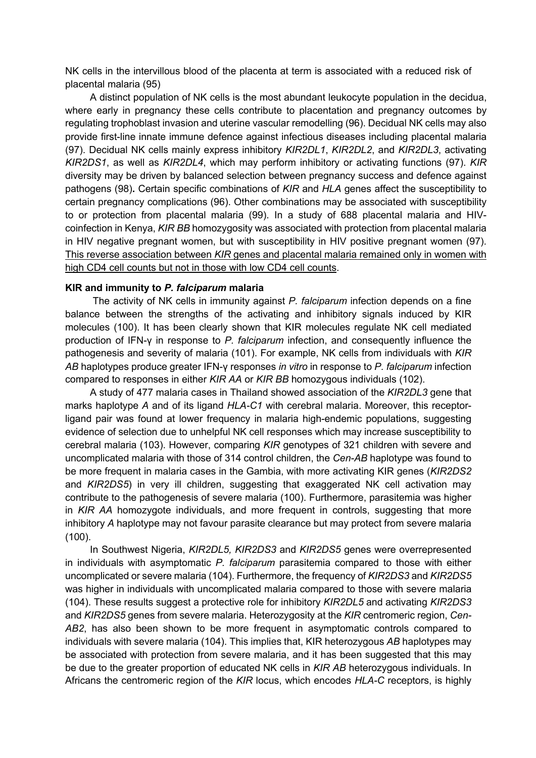NK cells in the intervillous blood of the placenta at term is associated with a reduced risk of placental malaria (95)

 A distinct population of NK cells is the most abundant leukocyte population in the decidua, where early in pregnancy these cells contribute to placentation and pregnancy outcomes by regulating trophoblast invasion and uterine vascular remodelling (96). Decidual NK cells may also provide first-line innate immune defence against infectious diseases including placental malaria (97). Decidual NK cells mainly express inhibitory *KIR2DL1*, *KIR2DL2*, and *KIR2DL3*, activating *KIR2DS1*, as well as *KIR2DL4*, which may perform inhibitory or activating functions (97). *KIR*  diversity may be driven by balanced selection between pregnancy success and defence against pathogens (98)**.** Certain specific combinations of *KIR* and *HLA* genes affect the susceptibility to certain pregnancy complications (96). Other combinations may be associated with susceptibility to or protection from placental malaria (99). In a study of 688 placental malaria and HIVcoinfection in Kenya, *KIR BB* homozygosity was associated with protection from placental malaria in HIV negative pregnant women, but with susceptibility in HIV positive pregnant women (97). This reverse association between *KIR* genes and placental malaria remained only in women with high CD4 cell counts but not in those with low CD4 cell counts.

#### **KIR and immunity to** *P. falciparum* **malaria**

The activity of NK cells in immunity against *P. falciparum* infection depends on a fine balance between the strengths of the activating and inhibitory signals induced by KIR molecules (100). It has been clearly shown that KIR molecules regulate NK cell mediated production of IFN-γ in response to *P. falciparum* infection, and consequently influence the pathogenesis and severity of malaria (101). For example, NK cells from individuals with *KIR AB* haplotypes produce greater IFN-γ responses *in vitro* in response to *P. falciparum* infection compared to responses in either *KIR AA* or *KIR BB* homozygous individuals (102).

 A study of 477 malaria cases in Thailand showed association of the *KIR2DL3* gene that marks haplotype *A* and of its ligand *HLA-C1* with cerebral malaria. Moreover, this receptorligand pair was found at lower frequency in malaria high-endemic populations, suggesting evidence of selection due to unhelpful NK cell responses which may increase susceptibility to cerebral malaria (103). However, comparing *KIR* genotypes of 321 children with severe and uncomplicated malaria with those of 314 control children, the *Cen-AB* haplotype was found to be more frequent in malaria cases in the Gambia, with more activating KIR genes (*KIR2DS2*  and *KIR2DS5*) in very ill children, suggesting that exaggerated NK cell activation may contribute to the pathogenesis of severe malaria (100). Furthermore, parasitemia was higher in *KIR AA* homozygote individuals, and more frequent in controls, suggesting that more inhibitory *A* haplotype may not favour parasite clearance but may protect from severe malaria (100).

 In Southwest Nigeria, *KIR2DL5, KIR2DS3* and *KIR2DS5* genes were overrepresented in individuals with asymptomatic *P. falciparum* parasitemia compared to those with either uncomplicated or severe malaria (104). Furthermore, the frequency of *KIR2DS3* and *KIR2DS5* was higher in individuals with uncomplicated malaria compared to those with severe malaria (104). These results suggest a protective role for inhibitory *KIR2DL5* and activating *KIR2DS3* and *KIR2DS5* genes from severe malaria. Heterozygosity at the *KIR* centromeric region, *Cen-AB2*, has also been shown to be more frequent in asymptomatic controls compared to individuals with severe malaria (104). This implies that, KIR heterozygous *AB* haplotypes may be associated with protection from severe malaria, and it has been suggested that this may be due to the greater proportion of educated NK cells in *KIR AB* heterozygous individuals. In Africans the centromeric region of the *KIR* locus, which encodes *HLA-C* receptors, is highly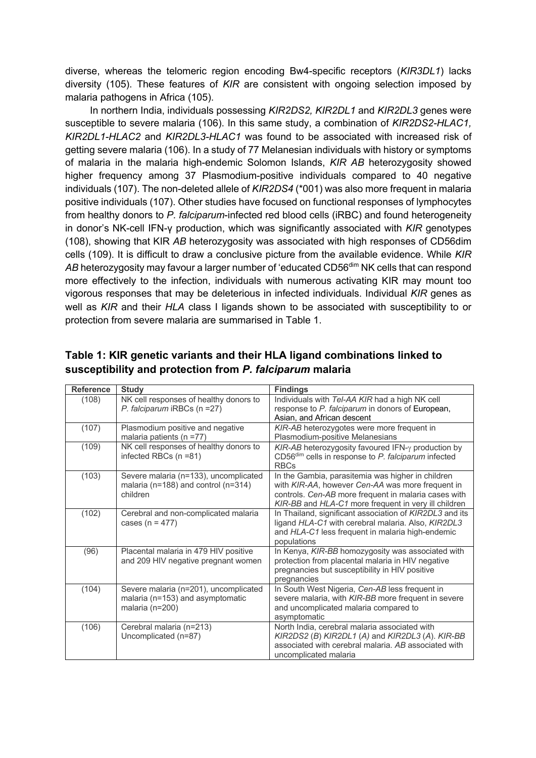diverse, whereas the telomeric region encoding Bw4-specific receptors (*KIR3DL1*) lacks diversity (105). These features of *KIR* are consistent with ongoing selection imposed by malaria pathogens in Africa (105).

 In northern India, individuals possessing *KIR2DS2, KIR2DL1* and *KIR2DL3* genes were susceptible to severe malaria (106). In this same study, a combination of *KIR2DS2-HLAC1, KIR2DL1-HLAC2* and *KIR2DL3-HLAC1* was found to be associated with increased risk of getting severe malaria (106). In a study of 77 Melanesian individuals with history or symptoms of malaria in the malaria high-endemic Solomon Islands, *KIR AB* heterozygosity showed higher frequency among 37 Plasmodium-positive individuals compared to 40 negative individuals (107). The non-deleted allele of *KIR2DS4* (\*001) was also more frequent in malaria positive individuals (107). Other studies have focused on functional responses of lymphocytes from healthy donors to *P. falciparum*-infected red blood cells (iRBC) and found heterogeneity in donor's NK-cell IFN-γ production, which was significantly associated with *KIR* genotypes (108), showing that KIR *AB* heterozygosity was associated with high responses of CD56dim cells (109). It is difficult to draw a conclusive picture from the available evidence. While *KIR*  AB heterozygosity may favour a larger number of 'educated CD56<sup>dim</sup> NK cells that can respond more effectively to the infection, individuals with numerous activating KIR may mount too vigorous responses that may be deleterious in infected individuals. Individual *KIR* genes as well as *KIR* and their *HLA* class I ligands shown to be associated with susceptibility to or protection from severe malaria are summarised in Table 1.

| <b>Reference</b> | <b>Study</b>                                                                                     | <b>Findings</b>                                                                                                                                                                                                       |
|------------------|--------------------------------------------------------------------------------------------------|-----------------------------------------------------------------------------------------------------------------------------------------------------------------------------------------------------------------------|
| (108)            | NK cell responses of healthy donors to<br>P. falciparum iRBCs (n = 27)                           | Individuals with Tel-AA KIR had a high NK cell<br>response to P. falciparum in donors of European,<br>Asian, and African descent                                                                                      |
| (107)            | Plasmodium positive and negative<br>malaria patients ( $n = 77$ )                                | KIR-AB heterozygotes were more frequent in<br>Plasmodium-positive Melanesians                                                                                                                                         |
| (109)            | NK cell responses of healthy donors to<br>infected RBCs (n =81)                                  | $KIR-AB$ heterozygosity favoured IFN- $\gamma$ production by<br>CD56 <sup>dim</sup> cells in response to P. falciparum infected<br><b>RBCs</b>                                                                        |
| (103)            | Severe malaria (n=133), uncomplicated<br>malaria ( $n=188$ ) and control ( $n=314$ )<br>children | In the Gambia, parasitemia was higher in children<br>with KIR-AA, however Cen-AA was more frequent in<br>controls. Cen-AB more frequent in malaria cases with<br>KIR-BB and HLA-C1 more frequent in very ill children |
| (102)            | Cerebral and non-complicated malaria<br>cases ( $n = 477$ )                                      | In Thailand, significant association of KIR2DL3 and its<br>ligand HLA-C1 with cerebral malaria. Also, KIR2DL3<br>and HLA-C1 less frequent in malaria high-endemic<br>populations                                      |
| (96)             | Placental malaria in 479 HIV positive<br>and 209 HIV negative pregnant women                     | In Kenya, KIR-BB homozygosity was associated with<br>protection from placental malaria in HIV negative<br>pregnancies but susceptibility in HIV positive<br>pregnancies                                               |
| (104)            | Severe malaria (n=201), uncomplicated<br>malaria (n=153) and asymptomatic<br>malaria (n=200)     | In South West Nigeria, Cen-AB less frequent in<br>severe malaria, with KIR-BB more frequent in severe<br>and uncomplicated malaria compared to<br>asymptomatic                                                        |
| (106)            | Cerebral malaria (n=213)<br>Uncomplicated (n=87)                                                 | North India, cerebral malaria associated with<br>KIR2DS2 (B) KIR2DL1 (A) and KIR2DL3 (A). KIR-BB<br>associated with cerebral malaria. AB associated with<br>uncomplicated malaria                                     |

# **Table 1: KIR genetic variants and their HLA ligand combinations linked to susceptibility and protection from** *P. falciparum* **malaria**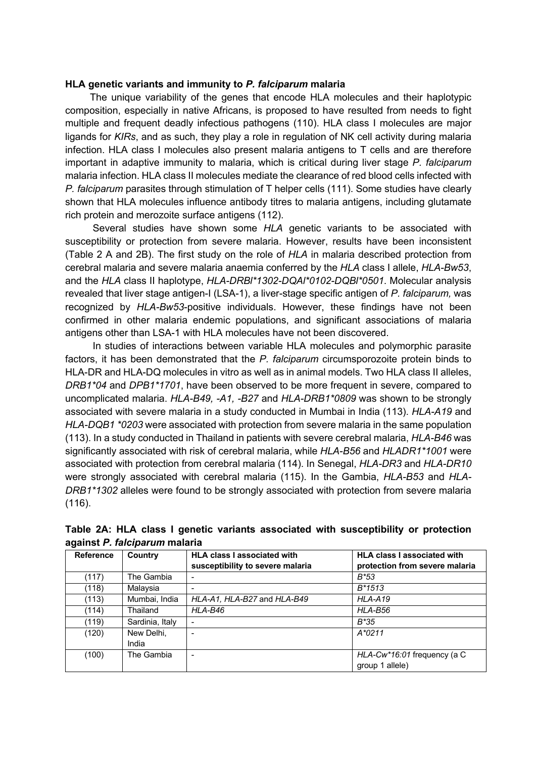### **HLA genetic variants and immunity to** *P. falciparum* **malaria**

 The unique variability of the genes that encode HLA molecules and their haplotypic composition, especially in native Africans, is proposed to have resulted from needs to fight multiple and frequent deadly infectious pathogens (110). HLA class I molecules are major ligands for *KIRs*, and as such, they play a role in regulation of NK cell activity during malaria infection. HLA class I molecules also present malaria antigens to T cells and are therefore important in adaptive immunity to malaria, which is critical during liver stage *P. falciparum* malaria infection. HLA class II molecules mediate the clearance of red blood cells infected with *P. falciparum* parasites through stimulation of T helper cells (111). Some studies have clearly shown that HLA molecules influence antibody titres to malaria antigens, including glutamate rich protein and merozoite surface antigens (112).

 Several studies have shown some *HLA* genetic variants to be associated with susceptibility or protection from severe malaria. However, results have been inconsistent (Table 2 A and 2B). The first study on the role of *HLA* in malaria described protection from cerebral malaria and severe malaria anaemia conferred by the *HLA* class I allele, *HLA-Bw53*, and the *HLA* class II haplotype, *HLA-DRBl\*1302-DQAl\*0102-DQBl\*0501*. Molecular analysis revealed that liver stage antigen-I (LSA-1), a liver-stage specific antigen of *P. falciparum,* was recognized by *HLA-Bw53*-positive individuals. However, these findings have not been confirmed in other malaria endemic populations, and significant associations of malaria antigens other than LSA-1 with HLA molecules have not been discovered.

 In studies of interactions between variable HLA molecules and polymorphic parasite factors, it has been demonstrated that the *P. falciparum* circumsporozoite protein binds to HLA-DR and HLA-DQ molecules in vitro as well as in animal models. Two HLA class II alleles, *DRB1\*04* and *DPB1\*1701*, have been observed to be more frequent in severe, compared to uncomplicated malaria. *HLA-B49, -A1, -B27* and *HLA-DRB1\*0809* was shown to be strongly associated with severe malaria in a study conducted in Mumbai in India (113). *HLA-A19* and *HLA-DQB1 \*0203* were associated with protection from severe malaria in the same population (113). In a study conducted in Thailand in patients with severe cerebral malaria, *HLA-B46* was significantly associated with risk of cerebral malaria, while *HLA-B56* and *HLADR1\*1001* were associated with protection from cerebral malaria (114). In Senegal, *HLA-DR3* and *HLA-DR10* were strongly associated with cerebral malaria (115). In the Gambia, *HLA-B53* and *HLA-DRB1\*1302* alleles were found to be strongly associated with protection from severe malaria (116).

| <b>Reference</b> | Country         | <b>HLA class I associated with</b> | <b>HLA class I associated with</b> |
|------------------|-----------------|------------------------------------|------------------------------------|
|                  |                 | susceptibility to severe malaria   | protection from severe malaria     |
| (117)            | The Gambia      | -                                  | $B*53$                             |
| (118)            | Malaysia        |                                    | $B*1513$                           |
| (113)            | Mumbai, India   | HLA-A1, HLA-B27 and HLA-B49        | HLA-A19                            |
| (114)            | Thailand        | HLA-B46                            | HLA-B56                            |
| (119)            | Sardinia, Italy |                                    | B*35                               |
| (120)            | New Delhi,      |                                    | $A*0211$                           |
|                  | India           |                                    |                                    |
| (100)            | The Gambia      |                                    | $HLA-Cw*16:01$ frequency (a C      |
|                  |                 |                                    | group 1 allele)                    |

**Table 2A: HLA class I genetic variants associated with susceptibility or protection against** *P. falciparum* **malaria**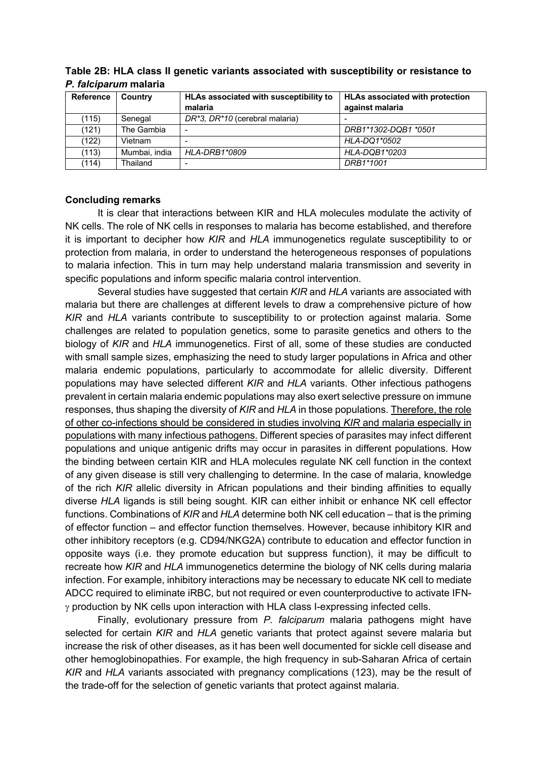| Reference | Country       | HLAs associated with susceptibility to<br>malaria | <b>HLAs associated with protection</b><br>against malaria |
|-----------|---------------|---------------------------------------------------|-----------------------------------------------------------|
| (115)     | Senegal       | DR*3, DR*10 (cerebral malaria)                    |                                                           |
| (121)     | The Gambia    |                                                   | DRB1*1302-DQB1 *0501                                      |
| (122)     | Vietnam       |                                                   | HLA-DQ1*0502                                              |
| (113)     | Mumbai, india | HLA-DRB1*0809                                     | HLA-DQB1*0203                                             |
| (114)     | Thailand      |                                                   | DRB1*1001                                                 |

**Table 2B: HLA class II genetic variants associated with susceptibility or resistance to**  *P. falciparum* **malaria**

### **Concluding remarks**

It is clear that interactions between KIR and HLA molecules modulate the activity of NK cells. The role of NK cells in responses to malaria has become established, and therefore it is important to decipher how *KIR* and *HLA* immunogenetics regulate susceptibility to or protection from malaria, in order to understand the heterogeneous responses of populations to malaria infection. This in turn may help understand malaria transmission and severity in specific populations and inform specific malaria control intervention.

Several studies have suggested that certain *KIR* and *HLA* variants are associated with malaria but there are challenges at different levels to draw a comprehensive picture of how *KIR* and *HLA* variants contribute to susceptibility to or protection against malaria. Some challenges are related to population genetics, some to parasite genetics and others to the biology of *KIR* and *HLA* immunogenetics. First of all, some of these studies are conducted with small sample sizes, emphasizing the need to study larger populations in Africa and other malaria endemic populations, particularly to accommodate for allelic diversity. Different populations may have selected different *KIR* and *HLA* variants. Other infectious pathogens prevalent in certain malaria endemic populations may also exert selective pressure on immune responses, thus shaping the diversity of *KIR* and *HLA* in those populations. Therefore, the role of other co-infections should be considered in studies involving *KIR* and malaria especially in populations with many infectious pathogens. Different species of parasites may infect different populations and unique antigenic drifts may occur in parasites in different populations. How the binding between certain KIR and HLA molecules regulate NK cell function in the context of any given disease is still very challenging to determine. In the case of malaria, knowledge of the rich *KIR* allelic diversity in African populations and their binding affinities to equally diverse *HLA* ligands is still being sought. KIR can either inhibit or enhance NK cell effector functions. Combinations of *KIR* and *HLA* determine both NK cell education – that is the priming of effector function – and effector function themselves. However, because inhibitory KIR and other inhibitory receptors (e.g. CD94/NKG2A) contribute to education and effector function in opposite ways (i.e. they promote education but suppress function), it may be difficult to recreate how *KIR* and *HLA* immunogenetics determine the biology of NK cells during malaria infection. For example, inhibitory interactions may be necessary to educate NK cell to mediate ADCC required to eliminate iRBC, but not required or even counterproductive to activate IFN- $\gamma$  production by NK cells upon interaction with HLA class I-expressing infected cells.

Finally, evolutionary pressure from *P. falciparum* malaria pathogens might have selected for certain *KIR* and *HLA* genetic variants that protect against severe malaria but increase the risk of other diseases, as it has been well documented for sickle cell disease and other hemoglobinopathies. For example, the high frequency in sub-Saharan Africa of certain *KIR* and *HLA* variants associated with pregnancy complications (123), may be the result of the trade-off for the selection of genetic variants that protect against malaria.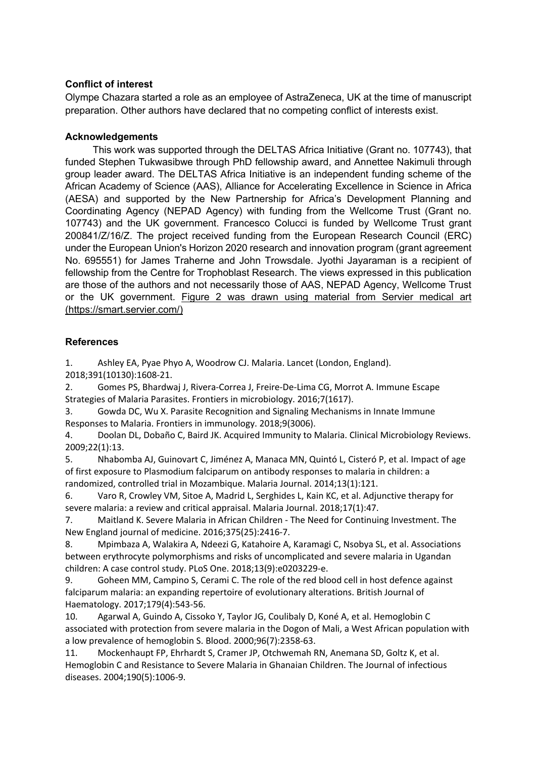## **Conflict of interest**

Olympe Chazara started a role as an employee of AstraZeneca, UK at the time of manuscript preparation. Other authors have declared that no competing conflict of interests exist.

## **Acknowledgements**

This work was supported through the DELTAS Africa Initiative (Grant no. 107743), that funded Stephen Tukwasibwe through PhD fellowship award, and Annettee Nakimuli through group leader award. The DELTAS Africa Initiative is an independent funding scheme of the African Academy of Science (AAS), Alliance for Accelerating Excellence in Science in Africa (AESA) and supported by the New Partnership for Africa's Development Planning and Coordinating Agency (NEPAD Agency) with funding from the Wellcome Trust (Grant no. 107743) and the UK government. Francesco Colucci is funded by Wellcome Trust grant 200841/Z/16/Z. The project received funding from the European Research Council (ERC) under the European Union's Horizon 2020 research and innovation program (grant agreement No. 695551) for James Traherne and John Trowsdale. Jyothi Jayaraman is a recipient of fellowship from the Centre for Trophoblast Research. The views expressed in this publication are those of the authors and not necessarily those of AAS, NEPAD Agency, Wellcome Trust or the UK government. Figure 2 was drawn using material from Servier medical art (https://smart.servier.com/)

# **References**

1. Ashley EA, Pyae Phyo A, Woodrow CJ. Malaria. Lancet (London, England). 2018;391(10130):1608-21.

2. Gomes PS, Bhardwaj J, Rivera-Correa J, Freire-De-Lima CG, Morrot A. Immune Escape Strategies of Malaria Parasites. Frontiers in microbiology. 2016;7(1617).

3. Gowda DC, Wu X. Parasite Recognition and Signaling Mechanisms in Innate Immune Responses to Malaria. Frontiers in immunology. 2018;9(3006).

4. Doolan DL, Dobaño C, Baird JK. Acquired Immunity to Malaria. Clinical Microbiology Reviews. 2009;22(1):13.

5. Nhabomba AJ, Guinovart C, Jiménez A, Manaca MN, Quintó L, Cisteró P, et al. Impact of age of first exposure to Plasmodium falciparum on antibody responses to malaria in children: a randomized, controlled trial in Mozambique. Malaria Journal. 2014;13(1):121.

6. Varo R, Crowley VM, Sitoe A, Madrid L, Serghides L, Kain KC, et al. Adjunctive therapy for severe malaria: a review and critical appraisal. Malaria Journal. 2018;17(1):47.

7. Maitland K. Severe Malaria in African Children - The Need for Continuing Investment. The New England journal of medicine. 2016;375(25):2416-7.

8. Mpimbaza A, Walakira A, Ndeezi G, Katahoire A, Karamagi C, Nsobya SL, et al. Associations between erythrocyte polymorphisms and risks of uncomplicated and severe malaria in Ugandan children: A case control study. PLoS One. 2018;13(9):e0203229-e.

9. Goheen MM, Campino S, Cerami C. The role of the red blood cell in host defence against falciparum malaria: an expanding repertoire of evolutionary alterations. British Journal of Haematology. 2017;179(4):543-56.

10. Agarwal A, Guindo A, Cissoko Y, Taylor JG, Coulibaly D, Koné A, et al. Hemoglobin C associated with protection from severe malaria in the Dogon of Mali, a West African population with a low prevalence of hemoglobin S. Blood. 2000;96(7):2358-63.

11. Mockenhaupt FP, Ehrhardt S, Cramer JP, Otchwemah RN, Anemana SD, Goltz K, et al. Hemoglobin C and Resistance to Severe Malaria in Ghanaian Children. The Journal of infectious diseases. 2004;190(5):1006-9.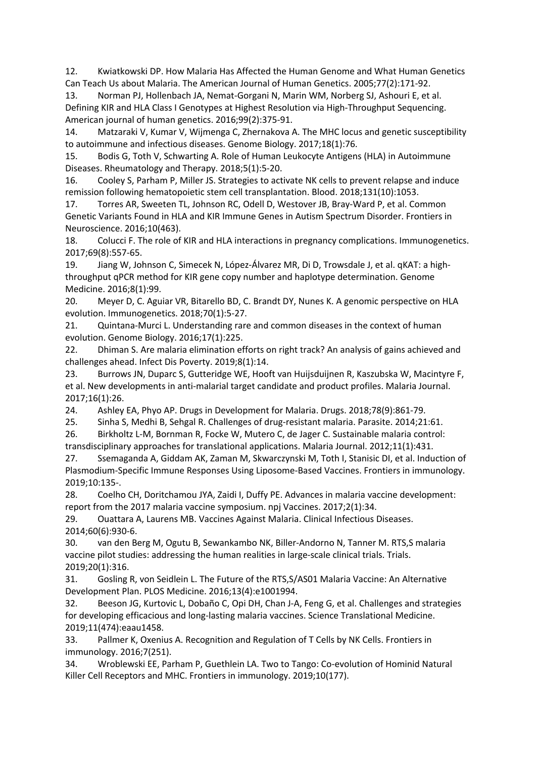12. Kwiatkowski DP. How Malaria Has Affected the Human Genome and What Human Genetics Can Teach Us about Malaria. The American Journal of Human Genetics. 2005;77(2):171-92.

13. Norman PJ, Hollenbach JA, Nemat-Gorgani N, Marin WM, Norberg SJ, Ashouri E, et al. Defining KIR and HLA Class I Genotypes at Highest Resolution via High-Throughput Sequencing. American journal of human genetics. 2016;99(2):375-91.

14. Matzaraki V, Kumar V, Wijmenga C, Zhernakova A. The MHC locus and genetic susceptibility to autoimmune and infectious diseases. Genome Biology. 2017;18(1):76.

15. Bodis G, Toth V, Schwarting A. Role of Human Leukocyte Antigens (HLA) in Autoimmune Diseases. Rheumatology and Therapy. 2018;5(1):5-20.

16. Cooley S, Parham P, Miller JS. Strategies to activate NK cells to prevent relapse and induce remission following hematopoietic stem cell transplantation. Blood. 2018;131(10):1053.

17. Torres AR, Sweeten TL, Johnson RC, Odell D, Westover JB, Bray-Ward P, et al. Common Genetic Variants Found in HLA and KIR Immune Genes in Autism Spectrum Disorder. Frontiers in Neuroscience. 2016;10(463).

18. Colucci F. The role of KIR and HLA interactions in pregnancy complications. Immunogenetics. 2017;69(8):557-65.

19. Jiang W, Johnson C, Simecek N, López-Álvarez MR, Di D, Trowsdale J, et al. qKAT: a highthroughput qPCR method for KIR gene copy number and haplotype determination. Genome Medicine. 2016;8(1):99.

20. Meyer D, C. Aguiar VR, Bitarello BD, C. Brandt DY, Nunes K. A genomic perspective on HLA evolution. Immunogenetics. 2018;70(1):5-27.

21. Quintana-Murci L. Understanding rare and common diseases in the context of human evolution. Genome Biology. 2016;17(1):225.

22. Dhiman S. Are malaria elimination efforts on right track? An analysis of gains achieved and challenges ahead. Infect Dis Poverty. 2019;8(1):14.

23. Burrows JN, Duparc S, Gutteridge WE, Hooft van Huijsduijnen R, Kaszubska W, Macintyre F, et al. New developments in anti-malarial target candidate and product profiles. Malaria Journal. 2017;16(1):26.

24. Ashley EA, Phyo AP. Drugs in Development for Malaria. Drugs. 2018;78(9):861-79.

25. Sinha S, Medhi B, Sehgal R. Challenges of drug-resistant malaria. Parasite. 2014;21:61.

26. Birkholtz L-M, Bornman R, Focke W, Mutero C, de Jager C. Sustainable malaria control: transdisciplinary approaches for translational applications. Malaria Journal. 2012;11(1):431.

27. Ssemaganda A, Giddam AK, Zaman M, Skwarczynski M, Toth I, Stanisic DI, et al. Induction of Plasmodium-Specific Immune Responses Using Liposome-Based Vaccines. Frontiers in immunology. 2019;10:135-.

28. Coelho CH, Doritchamou JYA, Zaidi I, Duffy PE. Advances in malaria vaccine development: report from the 2017 malaria vaccine symposium. npj Vaccines. 2017;2(1):34.

29. Ouattara A, Laurens MB. Vaccines Against Malaria. Clinical Infectious Diseases. 2014;60(6):930-6.

30. van den Berg M, Ogutu B, Sewankambo NK, Biller-Andorno N, Tanner M. RTS,S malaria vaccine pilot studies: addressing the human realities in large-scale clinical trials. Trials. 2019;20(1):316.

31. Gosling R, von Seidlein L. The Future of the RTS, S/AS01 Malaria Vaccine: An Alternative Development Plan. PLOS Medicine. 2016;13(4):e1001994.

32. Beeson JG, Kurtovic L, Dobaño C, Opi DH, Chan J-A, Feng G, et al. Challenges and strategies for developing efficacious and long-lasting malaria vaccines. Science Translational Medicine. 2019;11(474):eaau1458.

33. Pallmer K, Oxenius A. Recognition and Regulation of T Cells by NK Cells. Frontiers in immunology. 2016;7(251).

34. Wroblewski EE, Parham P, Guethlein LA. Two to Tango: Co-evolution of Hominid Natural Killer Cell Receptors and MHC. Frontiers in immunology. 2019;10(177).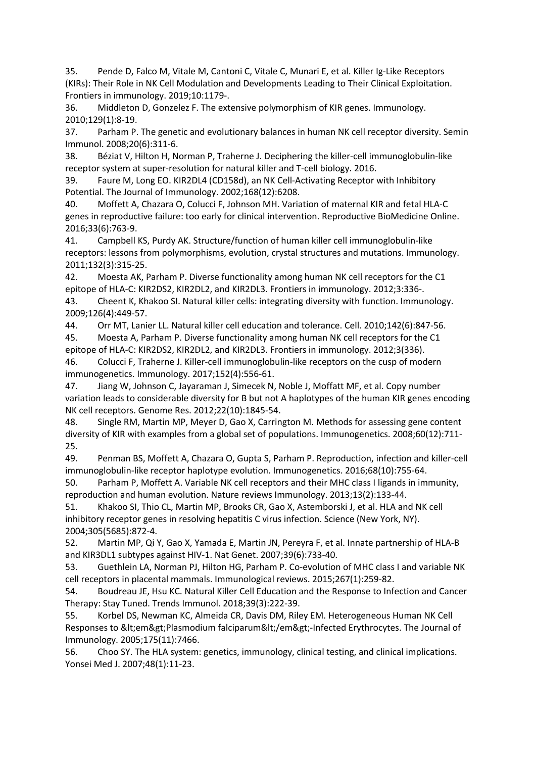35. Pende D, Falco M, Vitale M, Cantoni C, Vitale C, Munari E, et al. Killer Ig-Like Receptors (KIRs): Their Role in NK Cell Modulation and Developments Leading to Their Clinical Exploitation. Frontiers in immunology. 2019;10:1179-.

36. Middleton D, Gonzelez F. The extensive polymorphism of KIR genes. Immunology. 2010;129(1):8-19.

37. Parham P. The genetic and evolutionary balances in human NK cell receptor diversity. Semin Immunol. 2008;20(6):311-6.

38. Béziat V, Hilton H, Norman P, Traherne J. Deciphering the killer-cell immunoglobulin-like receptor system at super-resolution for natural killer and T-cell biology. 2016.

39. Faure M, Long EO. KIR2DL4 (CD158d), an NK Cell-Activating Receptor with Inhibitory Potential. The Journal of Immunology. 2002;168(12):6208.

40. Moffett A, Chazara O, Colucci F, Johnson MH. Variation of maternal KIR and fetal HLA-C genes in reproductive failure: too early for clinical intervention. Reproductive BioMedicine Online. 2016;33(6):763-9.

41. Campbell KS, Purdy AK. Structure/function of human killer cell immunoglobulin-like receptors: lessons from polymorphisms, evolution, crystal structures and mutations. Immunology. 2011;132(3):315-25.

42. Moesta AK, Parham P. Diverse functionality among human NK cell receptors for the C1 epitope of HLA-C: KIR2DS2, KIR2DL2, and KIR2DL3. Frontiers in immunology. 2012;3:336-.

43. Cheent K, Khakoo SI. Natural killer cells: integrating diversity with function. Immunology. 2009;126(4):449-57.

44. Orr MT, Lanier LL. Natural killer cell education and tolerance. Cell. 2010;142(6):847-56.

45. Moesta A, Parham P. Diverse functionality among human NK cell receptors for the C1 epitope of HLA-C: KIR2DS2, KIR2DL2, and KIR2DL3. Frontiers in immunology. 2012;3(336).

46. Colucci F, Traherne J. Killer-cell immunoglobulin-like receptors on the cusp of modern immunogenetics. Immunology. 2017;152(4):556-61.

47. Jiang W, Johnson C, Jayaraman J, Simecek N, Noble J, Moffatt MF, et al. Copy number variation leads to considerable diversity for B but not A haplotypes of the human KIR genes encoding NK cell receptors. Genome Res. 2012;22(10):1845-54.

48. Single RM, Martin MP, Meyer D, Gao X, Carrington M. Methods for assessing gene content diversity of KIR with examples from a global set of populations. Immunogenetics. 2008;60(12):711- 25.

49. Penman BS, Moffett A, Chazara O, Gupta S, Parham P. Reproduction, infection and killer-cell immunoglobulin-like receptor haplotype evolution. Immunogenetics. 2016;68(10):755-64.

50. Parham P, Moffett A. Variable NK cell receptors and their MHC class I ligands in immunity, reproduction and human evolution. Nature reviews Immunology. 2013;13(2):133-44.

51. Khakoo SI, Thio CL, Martin MP, Brooks CR, Gao X, Astemborski J, et al. HLA and NK cell inhibitory receptor genes in resolving hepatitis C virus infection. Science (New York, NY). 2004;305(5685):872-4.

52. Martin MP, Qi Y, Gao X, Yamada E, Martin JN, Pereyra F, et al. Innate partnership of HLA-B and KIR3DL1 subtypes against HIV-1. Nat Genet. 2007;39(6):733-40.

53. Guethlein LA, Norman PJ, Hilton HG, Parham P. Co-evolution of MHC class I and variable NK cell receptors in placental mammals. Immunological reviews. 2015;267(1):259-82.

54. Boudreau JE, Hsu KC. Natural Killer Cell Education and the Response to Infection and Cancer Therapy: Stay Tuned. Trends Immunol. 2018;39(3):222-39.

55. Korbel DS, Newman KC, Almeida CR, Davis DM, Riley EM. Heterogeneous Human NK Cell Responses to &It;em>Plasmodium falciparum&It;/em>-Infected Erythrocytes. The Journal of Immunology. 2005;175(11):7466.

56. Choo SY. The HLA system: genetics, immunology, clinical testing, and clinical implications. Yonsei Med J. 2007;48(1):11-23.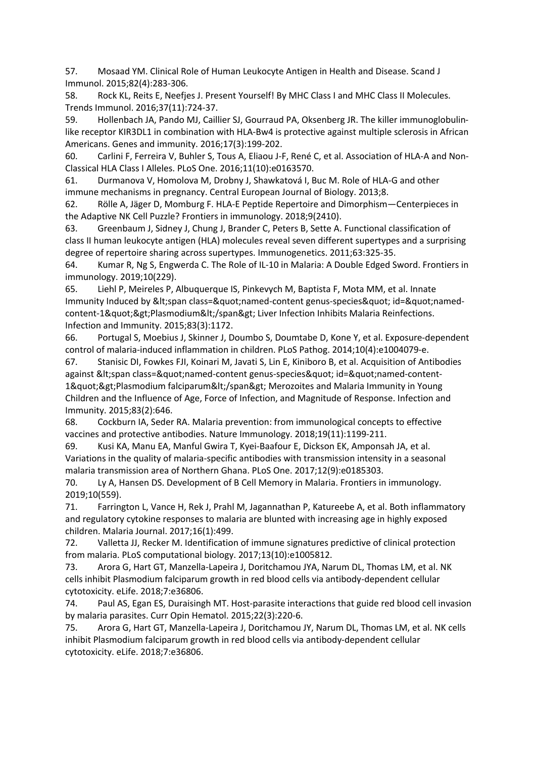57. Mosaad YM. Clinical Role of Human Leukocyte Antigen in Health and Disease. Scand J Immunol. 2015;82(4):283-306.

58. Rock KL, Reits E, Neefjes J. Present Yourself! By MHC Class I and MHC Class II Molecules. Trends Immunol. 2016;37(11):724-37.

59. Hollenbach JA, Pando MJ, Caillier SJ, Gourraud PA, Oksenberg JR. The killer immunoglobulinlike receptor KIR3DL1 in combination with HLA-Bw4 is protective against multiple sclerosis in African Americans. Genes and immunity. 2016;17(3):199-202.

60. Carlini F, Ferreira V, Buhler S, Tous A, Eliaou J-F, René C, et al. Association of HLA-A and Non-Classical HLA Class I Alleles. PLoS One. 2016;11(10):e0163570.

61. Durmanova V, Homolova M, Drobny J, Shawkatová I, Buc M. Role of HLA-G and other immune mechanisms in pregnancy. Central European Journal of Biology. 2013;8.

62. Rölle A, Jäger D, Momburg F. HLA-E Peptide Repertoire and Dimorphism—Centerpieces in the Adaptive NK Cell Puzzle? Frontiers in immunology. 2018;9(2410).

63. Greenbaum J, Sidney J, Chung J, Brander C, Peters B, Sette A. Functional classification of class II human leukocyte antigen (HLA) molecules reveal seven different supertypes and a surprising degree of repertoire sharing across supertypes. Immunogenetics. 2011;63:325-35.

64. Kumar R, Ng S, Engwerda C. The Role of IL-10 in Malaria: A Double Edged Sword. Frontiers in immunology. 2019;10(229).

65. Liehl P, Meireles P, Albuquerque IS, Pinkevych M, Baptista F, Mota MM, et al. Innate Immunity Induced by <span class=&quot;named-content genus-species&quot; id=&quot;namedcontent-1">Plasmodium</span&gt; Liver Infection Inhibits Malaria Reinfections. Infection and Immunity. 2015;83(3):1172.

66. Portugal S, Moebius J, Skinner J, Doumbo S, Doumtabe D, Kone Y, et al. Exposure-dependent control of malaria-induced inflammation in children. PLoS Pathog. 2014;10(4):e1004079-e.

67. Stanisic DI, Fowkes FJI, Koinari M, Javati S, Lin E, Kiniboro B, et al. Acquisition of Antibodies against &It;span class="named-content genus-species" id="named-content-1">Plasmodium falciparum</span&gt; Merozoites and Malaria Immunity in Young Children and the Influence of Age, Force of Infection, and Magnitude of Response. Infection and Immunity. 2015;83(2):646.

68. Cockburn IA, Seder RA. Malaria prevention: from immunological concepts to effective vaccines and protective antibodies. Nature Immunology. 2018;19(11):1199-211.

69. Kusi KA, Manu EA, Manful Gwira T, Kyei-Baafour E, Dickson EK, Amponsah JA, et al. Variations in the quality of malaria-specific antibodies with transmission intensity in a seasonal malaria transmission area of Northern Ghana. PLoS One. 2017;12(9):e0185303.

70. Ly A, Hansen DS. Development of B Cell Memory in Malaria. Frontiers in immunology. 2019;10(559).

71. Farrington L, Vance H, Rek J, Prahl M, Jagannathan P, Katureebe A, et al. Both inflammatory and regulatory cytokine responses to malaria are blunted with increasing age in highly exposed children. Malaria Journal. 2017;16(1):499.

72. Valletta JJ, Recker M. Identification of immune signatures predictive of clinical protection from malaria. PLoS computational biology. 2017;13(10):e1005812.

73. Arora G, Hart GT, Manzella-Lapeira J, Doritchamou JYA, Narum DL, Thomas LM, et al. NK cells inhibit Plasmodium falciparum growth in red blood cells via antibody-dependent cellular cytotoxicity. eLife. 2018;7:e36806.

74. Paul AS, Egan ES, Duraisingh MT. Host-parasite interactions that guide red blood cell invasion by malaria parasites. Curr Opin Hematol. 2015;22(3):220-6.

75. Arora G, Hart GT, Manzella-Lapeira J, Doritchamou JY, Narum DL, Thomas LM, et al. NK cells inhibit Plasmodium falciparum growth in red blood cells via antibody-dependent cellular cytotoxicity. eLife. 2018;7:e36806.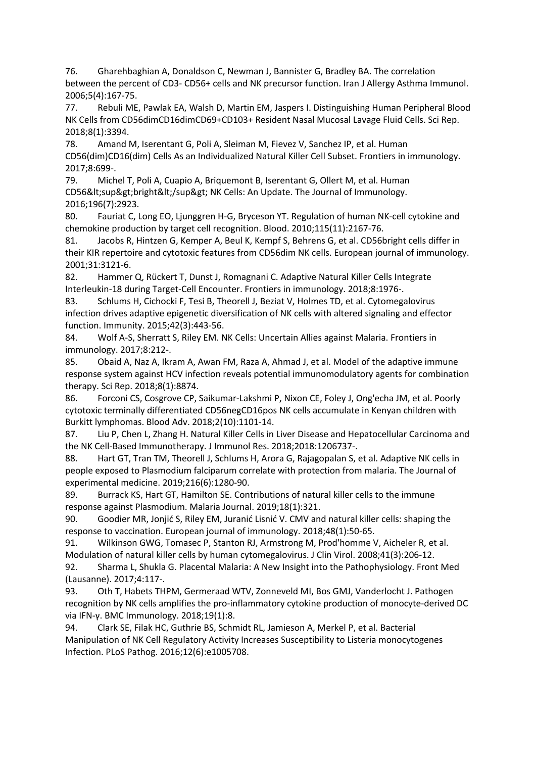76. Gharehbaghian A, Donaldson C, Newman J, Bannister G, Bradley BA. The correlation between the percent of CD3- CD56+ cells and NK precursor function. Iran J Allergy Asthma Immunol. 2006;5(4):167-75.

77. Rebuli ME, Pawlak EA, Walsh D, Martin EM, Jaspers I. Distinguishing Human Peripheral Blood NK Cells from CD56dimCD16dimCD69+CD103+ Resident Nasal Mucosal Lavage Fluid Cells. Sci Rep. 2018;8(1):3394.

78. Amand M, Iserentant G, Poli A, Sleiman M, Fievez V, Sanchez IP, et al. Human CD56(dim)CD16(dim) Cells As an Individualized Natural Killer Cell Subset. Frontiers in immunology. 2017;8:699-.

79. Michel T, Poli A, Cuapio A, Briquemont B, Iserentant G, Ollert M, et al. Human CD56<sup&gt;bright&lt;/sup&gt; NK Cells: An Update. The Journal of Immunology. 2016;196(7):2923.

80. Fauriat C, Long EO, Ljunggren H-G, Bryceson YT. Regulation of human NK-cell cytokine and chemokine production by target cell recognition. Blood. 2010;115(11):2167-76.

81. Jacobs R, Hintzen G, Kemper A, Beul K, Kempf S, Behrens G, et al. CD56bright cells differ in their KIR repertoire and cytotoxic features from CD56dim NK cells. European journal of immunology. 2001;31:3121-6.

82. Hammer Q, Rückert T, Dunst J, Romagnani C. Adaptive Natural Killer Cells Integrate Interleukin-18 during Target-Cell Encounter. Frontiers in immunology. 2018;8:1976-.

83. Schlums H, Cichocki F, Tesi B, Theorell J, Beziat V, Holmes TD, et al. Cytomegalovirus infection drives adaptive epigenetic diversification of NK cells with altered signaling and effector function. Immunity. 2015;42(3):443-56.

84. Wolf A-S, Sherratt S, Riley EM. NK Cells: Uncertain Allies against Malaria. Frontiers in immunology. 2017;8:212-.

85. Obaid A, Naz A, Ikram A, Awan FM, Raza A, Ahmad J, et al. Model of the adaptive immune response system against HCV infection reveals potential immunomodulatory agents for combination therapy. Sci Rep. 2018;8(1):8874.

86. Forconi CS, Cosgrove CP, Saikumar-Lakshmi P, Nixon CE, Foley J, Ong'echa JM, et al. Poorly cytotoxic terminally differentiated CD56negCD16pos NK cells accumulate in Kenyan children with Burkitt lymphomas. Blood Adv. 2018;2(10):1101-14.

87. Liu P, Chen L, Zhang H. Natural Killer Cells in Liver Disease and Hepatocellular Carcinoma and the NK Cell-Based Immunotherapy. J Immunol Res. 2018;2018:1206737-.

88. Hart GT, Tran TM, Theorell J, Schlums H, Arora G, Rajagopalan S, et al. Adaptive NK cells in people exposed to Plasmodium falciparum correlate with protection from malaria. The Journal of experimental medicine. 2019;216(6):1280-90.

89. Burrack KS, Hart GT, Hamilton SE. Contributions of natural killer cells to the immune response against Plasmodium. Malaria Journal. 2019;18(1):321.

90. Goodier MR, Jonjić S, Riley EM, Juranić Lisnić V. CMV and natural killer cells: shaping the response to vaccination. European journal of immunology. 2018;48(1):50-65.

91. Wilkinson GWG, Tomasec P, Stanton RJ, Armstrong M, Prod'homme V, Aicheler R, et al. Modulation of natural killer cells by human cytomegalovirus. J Clin Virol. 2008;41(3):206-12.

92. Sharma L, Shukla G. Placental Malaria: A New Insight into the Pathophysiology. Front Med (Lausanne). 2017;4:117-.

93. Oth T, Habets THPM, Germeraad WTV, Zonneveld MI, Bos GMJ, Vanderlocht J. Pathogen recognition by NK cells amplifies the pro-inflammatory cytokine production of monocyte-derived DC via IFN-γ. BMC Immunology. 2018;19(1):8.

94. Clark SE, Filak HC, Guthrie BS, Schmidt RL, Jamieson A, Merkel P, et al. Bacterial Manipulation of NK Cell Regulatory Activity Increases Susceptibility to Listeria monocytogenes Infection. PLoS Pathog. 2016;12(6):e1005708.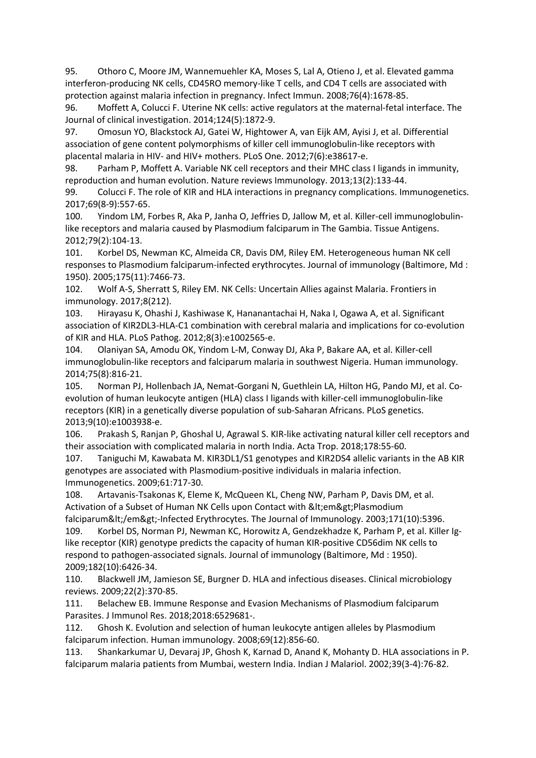95. Othoro C, Moore JM, Wannemuehler KA, Moses S, Lal A, Otieno J, et al. Elevated gamma interferon-producing NK cells, CD45RO memory-like T cells, and CD4 T cells are associated with protection against malaria infection in pregnancy. Infect Immun. 2008;76(4):1678-85.

96. Moffett A, Colucci F. Uterine NK cells: active regulators at the maternal-fetal interface. The Journal of clinical investigation. 2014;124(5):1872-9.

97. Omosun YO, Blackstock AJ, Gatei W, Hightower A, van Eijk AM, Ayisi J, et al. Differential association of gene content polymorphisms of killer cell immunoglobulin-like receptors with placental malaria in HIV- and HIV+ mothers. PLoS One. 2012;7(6):e38617-e.

98. Parham P, Moffett A. Variable NK cell receptors and their MHC class I ligands in immunity, reproduction and human evolution. Nature reviews Immunology. 2013;13(2):133-44.

99. Colucci F. The role of KIR and HLA interactions in pregnancy complications. Immunogenetics. 2017;69(8-9):557-65.

100. Yindom LM, Forbes R, Aka P, Janha O, Jeffries D, Jallow M, et al. Killer-cell immunoglobulinlike receptors and malaria caused by Plasmodium falciparum in The Gambia. Tissue Antigens. 2012;79(2):104-13.

101. Korbel DS, Newman KC, Almeida CR, Davis DM, Riley EM. Heterogeneous human NK cell responses to Plasmodium falciparum-infected erythrocytes. Journal of immunology (Baltimore, Md : 1950). 2005;175(11):7466-73.

102. Wolf A-S, Sherratt S, Riley EM. NK Cells: Uncertain Allies against Malaria. Frontiers in immunology. 2017;8(212).

103. Hirayasu K, Ohashi J, Kashiwase K, Hananantachai H, Naka I, Ogawa A, et al. Significant association of KIR2DL3-HLA-C1 combination with cerebral malaria and implications for co-evolution of KIR and HLA. PLoS Pathog. 2012;8(3):e1002565-e.

104. Olaniyan SA, Amodu OK, Yindom L-M, Conway DJ, Aka P, Bakare AA, et al. Killer-cell immunoglobulin-like receptors and falciparum malaria in southwest Nigeria. Human immunology. 2014;75(8):816-21.

105. Norman PJ, Hollenbach JA, Nemat-Gorgani N, Guethlein LA, Hilton HG, Pando MJ, et al. Coevolution of human leukocyte antigen (HLA) class I ligands with killer-cell immunoglobulin-like receptors (KIR) in a genetically diverse population of sub-Saharan Africans. PLoS genetics. 2013;9(10):e1003938-e.

106. Prakash S, Ranjan P, Ghoshal U, Agrawal S. KIR-like activating natural killer cell receptors and their association with complicated malaria in north India. Acta Trop. 2018;178:55-60.

107. Taniguchi M, Kawabata M. KIR3DL1/S1 genotypes and KIR2DS4 allelic variants in the AB KIR genotypes are associated with Plasmodium-positive individuals in malaria infection. Immunogenetics. 2009;61:717-30.

108. Artavanis-Tsakonas K, Eleme K, McQueen KL, Cheng NW, Parham P, Davis DM, et al. Activation of a Subset of Human NK Cells upon Contact with <em&gt;Plasmodium falciparum</em&gt;-Infected Erythrocytes. The Journal of Immunology. 2003;171(10):5396.

109. Korbel DS, Norman PJ, Newman KC, Horowitz A, Gendzekhadze K, Parham P, et al. Killer Iglike receptor (KIR) genotype predicts the capacity of human KIR-positive CD56dim NK cells to respond to pathogen-associated signals. Journal of immunology (Baltimore, Md : 1950). 2009;182(10):6426-34.

110. Blackwell JM, Jamieson SE, Burgner D. HLA and infectious diseases. Clinical microbiology reviews. 2009;22(2):370-85.

111. Belachew EB. Immune Response and Evasion Mechanisms of Plasmodium falciparum Parasites. J Immunol Res. 2018;2018:6529681-.

112. Ghosh K. Evolution and selection of human leukocyte antigen alleles by Plasmodium falciparum infection. Human immunology. 2008;69(12):856-60.

113. Shankarkumar U, Devaraj JP, Ghosh K, Karnad D, Anand K, Mohanty D. HLA associations in P. falciparum malaria patients from Mumbai, western India. Indian J Malariol. 2002;39(3-4):76-82.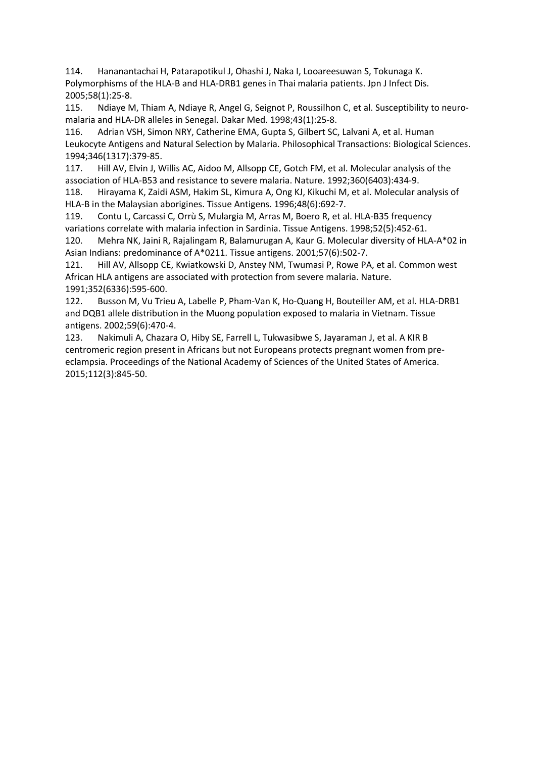114. Hananantachai H, Patarapotikul J, Ohashi J, Naka I, Looareesuwan S, Tokunaga K. Polymorphisms of the HLA-B and HLA-DRB1 genes in Thai malaria patients. Jpn J Infect Dis. 2005;58(1):25-8.

115. Ndiaye M, Thiam A, Ndiaye R, Angel G, Seignot P, Roussilhon C, et al. Susceptibility to neuromalaria and HLA-DR alleles in Senegal. Dakar Med. 1998;43(1):25-8.

116. Adrian VSH, Simon NRY, Catherine EMA, Gupta S, Gilbert SC, Lalvani A, et al. Human Leukocyte Antigens and Natural Selection by Malaria. Philosophical Transactions: Biological Sciences. 1994;346(1317):379-85.

117. Hill AV, Elvin J, Willis AC, Aidoo M, Allsopp CE, Gotch FM, et al. Molecular analysis of the association of HLA-B53 and resistance to severe malaria. Nature. 1992;360(6403):434-9.

118. Hirayama K, Zaidi ASM, Hakim SL, Kimura A, Ong KJ, Kikuchi M, et al. Molecular analysis of HLA-B in the Malaysian aborigines. Tissue Antigens. 1996;48(6):692-7.

119. Contu L, Carcassi C, Orrù S, Mulargia M, Arras M, Boero R, et al. HLA-B35 frequency variations correlate with malaria infection in Sardinia. Tissue Antigens. 1998;52(5):452-61.

120. Mehra NK, Jaini R, Rajalingam R, Balamurugan A, Kaur G. Molecular diversity of HLA-A\*02 in Asian Indians: predominance of A\*0211. Tissue antigens. 2001;57(6):502-7.

121. Hill AV, Allsopp CE, Kwiatkowski D, Anstey NM, Twumasi P, Rowe PA, et al. Common west African HLA antigens are associated with protection from severe malaria. Nature. 1991;352(6336):595-600.

122. Busson M, Vu Trieu A, Labelle P, Pham-Van K, Ho-Quang H, Bouteiller AM, et al. HLA-DRB1 and DQB1 allele distribution in the Muong population exposed to malaria in Vietnam. Tissue antigens. 2002;59(6):470-4.

123. Nakimuli A, Chazara O, Hiby SE, Farrell L, Tukwasibwe S, Jayaraman J, et al. A KIR B centromeric region present in Africans but not Europeans protects pregnant women from preeclampsia. Proceedings of the National Academy of Sciences of the United States of America. 2015;112(3):845-50.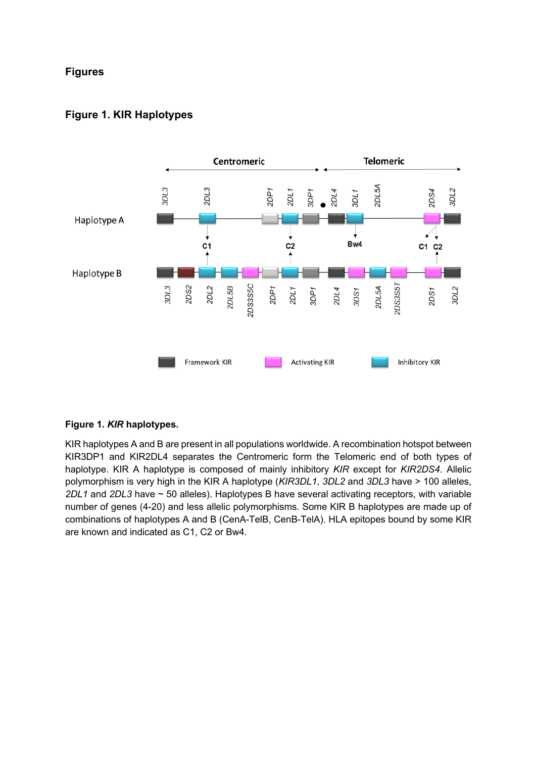# **Figures**

# **Figure 1. KIR Haplotypes**



# **Figure 1.** *KIR* **haplotypes.**

KIR haplotypes A and B are present in all populations worldwide. A recombination hotspot between KIR3DP1 and KIR2DL4 separates the Centromeric form the Telomeric end of both types of haplotype. KIR A haplotype is composed of mainly inhibitory *KIR* except for *KIR2DS4*. Allelic polymorphism is very high in the KIR A haplotype (*KIR3DL1*, *3DL2* and *3DL3* have > 100 alleles, *2DL1* and *2DL3* have ~ 50 alleles). Haplotypes B have several activating receptors, with variable number of genes (4-20) and less allelic polymorphisms. Some KIR B haplotypes are made up of combinations of haplotypes A and B (CenA-TelB, CenB-TelA). HLA epitopes bound by some KIR are known and indicated as C1, C2 or Bw4.